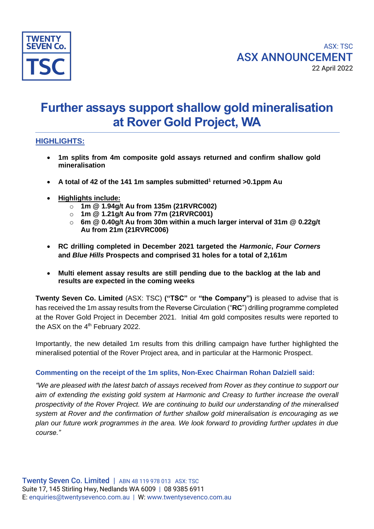

# **Further assays support shallow gold mineralisation at Rover Gold Project, WA**

# **HIGHLIGHTS:**

- **1m splits from 4m composite gold assays returned and confirm shallow gold mineralisation**
- **A total of 42 of the 141 1m samples submitted<sup>1</sup> returned >0.1ppm Au**
- **Highlights include:**
	- o **1m @ 1.94g/t Au from 135m (21RVRC002)**
	- o **1m @ 1.21g/t Au from 77m (21RVRC001)**
	- o **6m @ 0.40g/t Au from 30m within a much larger interval of 31m @ 0.22g/t Au from 21m (21RVRC006)**
- **RC drilling completed in December 2021 targeted the** *Harmonic***,** *Four Corners* **and** *Blue Hills* **Prospects and comprised 31 holes for a total of 2,161m**
- **Multi element assay results are still pending due to the backlog at the lab and results are expected in the coming weeks**

**Twenty Seven Co. Limited** (ASX: TSC) **("TSC"** or **"the Company")** is pleased to advise that is has received the 1m assay results from the Reverse Circulation ("**RC**") drilling programme completed at the Rover Gold Project in December 2021. Initial 4m gold composites results were reported to the ASX on the 4<sup>th</sup> February 2022.

Importantly, the new detailed 1m results from this drilling campaign have further highlighted the mineralised potential of the Rover Project area, and in particular at the Harmonic Prospect.

#### **Commenting on the receipt of the 1m splits, Non-Exec Chairman Rohan Dalziell said:**

*"We are pleased with the latest batch of assays received from Rover as they continue to support our aim of extending the existing gold system at Harmonic and Creasy to further increase the overall prospectivity of the Rover Project. We are continuing to build our understanding of the mineralised system at Rover and the confirmation of further shallow gold mineralisation is encouraging as we plan our future work programmes in the area. We look forward to providing further updates in due course."*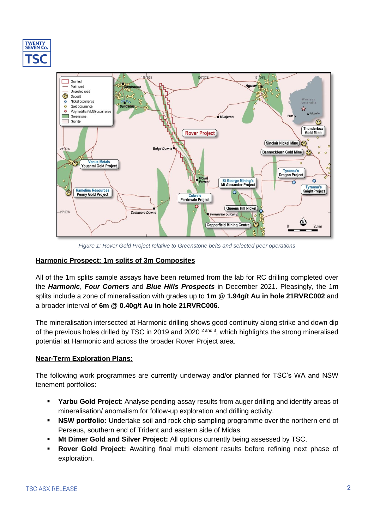



*Figure 1: Rover Gold Project relative to Greenstone belts and selected peer operations*

### **Harmonic Prospect: 1m splits of 3m Composites**

All of the 1m splits sample assays have been returned from the lab for RC drilling completed over the *Harmonic*, *Four Corners* and *Blue Hills Prospects* in December 2021. Pleasingly, the 1m splits include a zone of mineralisation with grades up to **1m @ 1.94g/t Au in hole 21RVRC002** and a broader interval of **6m @ 0.40g/t Au in hole 21RVRC006**.

The mineralisation intersected at Harmonic drilling shows good continuity along strike and down dip of the previous holes drilled by TSC in 2019 and 2020  $^{2 \text{ and } 3}$ , which highlights the strong mineralised potential at Harmonic and across the broader Rover Project area.

#### **Near-Term Exploration Plans:**

The following work programmes are currently underway and/or planned for TSC's WA and NSW tenement portfolios:

- **Yarbu Gold Project**: Analyse pending assay results from auger drilling and identify areas of mineralisation/ anomalism for follow-up exploration and drilling activity.
- **EXECT ASW portfolio:** Undertake soil and rock chip sampling programme over the northern end of Perseus, southern end of Trident and eastern side of Midas.
- **Mt Dimer Gold and Silver Project:** All options currently being assessed by TSC.
- **Rover Gold Project:** Awaiting final multi element results before refining next phase of exploration.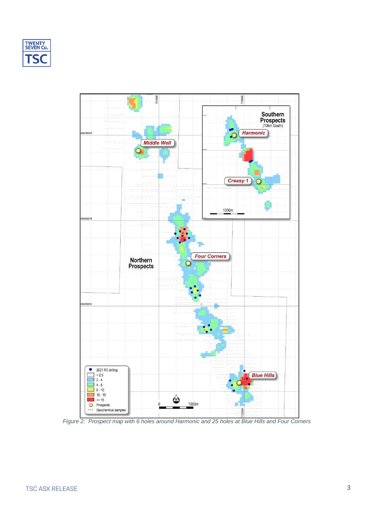



*Figure 2: Prospect map with 6 holes around Harmonic and 25 holes at Blue Hills and Four Corners*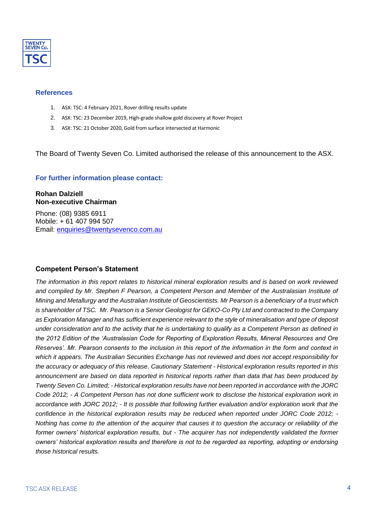

#### **References**

- 1. ASX: TSC: 4 February 2021, Rover drilling results update
- 2. ASX: TSC: 23 December 2019, High-grade shallow gold discovery at Rover Project
- 3. ASX: TSC: 21 October 2020, Gold from surface intersected at Harmonic

The Board of Twenty Seven Co. Limited authorised the release of this announcement to the ASX.

#### **For further information please contact:**

#### **Rohan Dalziell Non-executive Chairman**

Phone: (08) 9385 6911 Mobile: + 61 407 994 507 Email: [enquiries@twentysevenco.com.au](mailto:enquiries@twentysevenco.com.au)

#### **Competent Person's Statement**

*The information in this report relates to historical mineral exploration results and is based on work reviewed and compiled by Mr. Stephen F Pearson, a Competent Person and Member of the Australasian Institute of Mining and Metallurgy and the Australian Institute of Geoscientists. Mr Pearson is a beneficiary of a trust which is shareholder of TSC. Mr. Pearson is a Senior Geologist for GEKO-Co Pty Ltd and contracted to the Company as Exploration Manager and has sufficient experience relevant to the style of mineralisation and type of deposit under consideration and to the activity that he is undertaking to qualify as a Competent Person as defined in the 2012 Edition of the 'Australasian Code for Reporting of Exploration Results, Mineral Resources and Ore Reserves'. Mr. Pearson consents to the inclusion in this report of the information in the form and context in which it appears. The Australian Securities Exchange has not reviewed and does not accept responsibility for the accuracy or adequacy of this release. Cautionary Statement - Historical exploration results reported in this announcement are based on data reported in historical reports rather than data that has been produced by Twenty Seven Co. Limited; - Historical exploration results have not been reported in accordance with the JORC Code 2012; - A Competent Person has not done sufficient work to disclose the historical exploration work in accordance with JORC 2012; - It is possible that following further evaluation and/or exploration work that the confidence in the historical exploration results may be reduced when reported under JORC Code 2012; - Nothing has come to the attention of the acquirer that causes it to question the accuracy or reliability of the former owners' historical exploration results, but - The acquirer has not independently validated the former owners' historical exploration results and therefore is not to be regarded as reporting, adopting or endorsing those historical results.*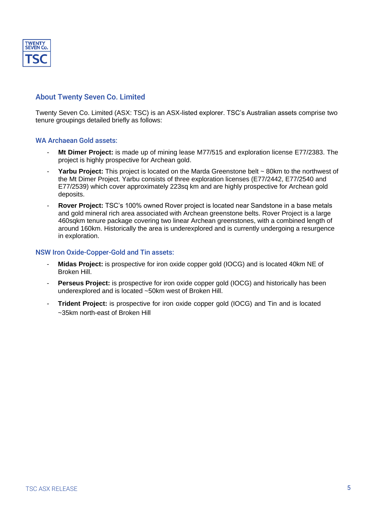

## About Twenty Seven Co. Limited

Twenty Seven Co. Limited (ASX: TSC) is an ASX-listed explorer. TSC's Australian assets comprise two tenure groupings detailed briefly as follows:

#### WA Archaean Gold assets:

- **Mt Dimer Project:** is made up of mining lease M77/515 and exploration license E77/2383. The project is highly prospective for Archean gold.
- Yarbu Project: This project is located on the Marda Greenstone belt ~ 80km to the northwest of the Mt Dimer Project. Yarbu consists of three exploration licenses (E77/2442, E77/2540 and E77/2539) which cover approximately 223sq km and are highly prospective for Archean gold deposits.
- **Rover Project:** TSC's 100% owned Rover project is located near Sandstone in a base metals and gold mineral rich area associated with Archean greenstone belts. Rover Project is a large 460sqkm tenure package covering two linear Archean greenstones, with a combined length of around 160km. Historically the area is underexplored and is currently undergoing a resurgence in exploration.

#### NSW Iron Oxide-Copper-Gold and Tin assets:

- Midas Project: is prospective for iron oxide copper gold (IOCG) and is located 40km NE of Broken Hill.
- **Perseus Project:** is prospective for iron oxide copper gold (IOCG) and historically has been underexplored and is located ~50km west of Broken Hill.
- **Trident Project:** is prospective for iron oxide copper gold (IOCG) and Tin and is located ~35km north-east of Broken Hill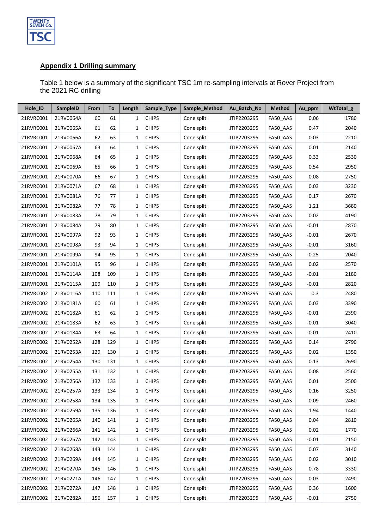

## **Appendix 1 Drilling summary**

Table 1 below is a summary of the significant TSC 1m re-sampling intervals at Rover Project from the 2021 RC drilling

| Hole_ID   | <b>SampleID</b> | From | To  | Length       | Sample_Type  | Sample_Method | Au_Batch_No | <b>Method</b> | Au_ppm  | WtTotal_g |
|-----------|-----------------|------|-----|--------------|--------------|---------------|-------------|---------------|---------|-----------|
| 21RVRC001 | 21RV0064A       | 60   | 61  | 1            | <b>CHIPS</b> | Cone split    | JTIP2203295 | FA50_AAS      | 0.06    | 1780      |
| 21RVRC001 | 21RV0065A       | 61   | 62  | 1            | <b>CHIPS</b> | Cone split    | JTIP2203295 | FA50_AAS      | 0.47    | 2040      |
| 21RVRC001 | 21RV0066A       | 62   | 63  | 1            | <b>CHIPS</b> | Cone split    | JTIP2203295 | FA50 AAS      | 0.03    | 2210      |
| 21RVRC001 | 21RV0067A       | 63   | 64  | $\mathbf{1}$ | <b>CHIPS</b> | Cone split    | JTIP2203295 | FA50_AAS      | 0.01    | 2140      |
| 21RVRC001 | 21RV0068A       | 64   | 65  | 1            | <b>CHIPS</b> | Cone split    | JTIP2203295 | FA50_AAS      | 0.33    | 2530      |
| 21RVRC001 | 21RV0069A       | 65   | 66  | 1            | <b>CHIPS</b> | Cone split    | JTIP2203295 | FA50 AAS      | 0.54    | 2950      |
| 21RVRC001 | 21RV0070A       | 66   | 67  | 1            | <b>CHIPS</b> | Cone split    | JTIP2203295 | FA50 AAS      | 0.08    | 2750      |
| 21RVRC001 | 21RV0071A       | 67   | 68  | 1            | <b>CHIPS</b> | Cone split    | JTIP2203295 | FA50_AAS      | 0.03    | 3230      |
| 21RVRC001 | 21RV0081A       | 76   | 77  | 1            | <b>CHIPS</b> | Cone split    | JTIP2203295 | FA50_AAS      | 0.17    | 2670      |
| 21RVRC001 | 21RV0082A       | 77   | 78  | 1            | <b>CHIPS</b> | Cone split    | JTIP2203295 | FA50 AAS      | 1.21    | 3680      |
| 21RVRC001 | 21RV0083A       | 78   | 79  | 1            | <b>CHIPS</b> | Cone split    | JTIP2203295 | FA50_AAS      | 0.02    | 4190      |
| 21RVRC001 | 21RV0084A       | 79   | 80  | 1            | <b>CHIPS</b> | Cone split    | JTIP2203295 | FA50_AAS      | $-0.01$ | 2870      |
| 21RVRC001 | 21RV0097A       | 92   | 93  | 1            | <b>CHIPS</b> | Cone split    | JTIP2203295 | FA50_AAS      | $-0.01$ | 2670      |
| 21RVRC001 | 21RV0098A       | 93   | 94  | 1            | <b>CHIPS</b> | Cone split    | JTIP2203295 | FA50_AAS      | $-0.01$ | 3160      |
| 21RVRC001 | 21RV0099A       | 94   | 95  | 1            | <b>CHIPS</b> | Cone split    | JTIP2203295 | FA50_AAS      | 0.25    | 2040      |
| 21RVRC001 | 21RV0101A       | 95   | 96  | $\mathbf{1}$ | <b>CHIPS</b> | Cone split    | JTIP2203295 | FA50_AAS      | 0.02    | 2570      |
| 21RVRC001 | 21RV0114A       | 108  | 109 | 1            | <b>CHIPS</b> | Cone split    | JTIP2203295 | FA50 AAS      | $-0.01$ | 2180      |
| 21RVRC001 | 21RV0115A       | 109  | 110 | 1            | <b>CHIPS</b> | Cone split    | JTIP2203295 | FA50_AAS      | $-0.01$ | 2820      |
| 21RVRC002 | 21RV0116A       | 110  | 111 | 1            | <b>CHIPS</b> | Cone split    | JTIP2203295 | FA50 AAS      | 0.3     | 2480      |
| 21RVRC002 | 21RV0181A       | 60   | 61  | 1            | <b>CHIPS</b> | Cone split    | JTIP2203295 | FA50 AAS      | 0.03    | 3390      |
| 21RVRC002 | 21RV0182A       | 61   | 62  | 1            | <b>CHIPS</b> | Cone split    | JTIP2203295 | FA50_AAS      | $-0.01$ | 2390      |
| 21RVRC002 | 21RV0183A       | 62   | 63  | 1            | <b>CHIPS</b> | Cone split    | JTIP2203295 | FA50_AAS      | $-0.01$ | 3040      |
| 21RVRC002 | 21RV0184A       | 63   | 64  | 1            | <b>CHIPS</b> | Cone split    | JTIP2203295 | FA50_AAS      | $-0.01$ | 2410      |
| 21RVRC002 | 21RV0252A       | 128  | 129 | 1            | <b>CHIPS</b> | Cone split    | JTIP2203295 | FA50 AAS      | 0.14    | 2790      |
| 21RVRC002 | 21RV0253A       | 129  | 130 | 1            | <b>CHIPS</b> | Cone split    | JTIP2203295 | FA50_AAS      | 0.02    | 1350      |
| 21RVRC002 | 21RV0254A       | 130  | 131 | 1            | <b>CHIPS</b> | Cone split    | JTIP2203295 | FA50 AAS      | 0.13    | 2690      |
| 21RVRC002 | 21RV0255A       | 131  | 132 | 1            | <b>CHIPS</b> | Cone split    | JTIP2203295 | FA50 AAS      | 0.08    | 2560      |
| 21RVRC002 | 21RV0256A       | 132  | 133 | $\mathbf{1}$ | <b>CHIPS</b> | Cone split    | JTIP2203295 | FA50_AAS      | 0.01    | 2500      |
| 21RVRC002 | 21RV0257A       | 133  | 134 | 1            | <b>CHIPS</b> | Cone split    | JTIP2203295 | FA50 AAS      | 0.16    | 3250      |
| 21RVRC002 | 21RV0258A       | 134  | 135 | 1            | <b>CHIPS</b> | Cone split    | JTIP2203295 | FA50_AAS      | 0.09    | 2460      |
| 21RVRC002 | 21RV0259A       | 135  | 136 | 1            | <b>CHIPS</b> | Cone split    | JTIP2203295 | FA50 AAS      | 1.94    | 1440      |
| 21RVRC002 | 21RV0265A       | 140  | 141 | 1            | <b>CHIPS</b> | Cone split    | JTIP2203295 | FA50_AAS      | 0.04    | 2810      |
| 21RVRC002 | 21RV0266A       | 141  | 142 | 1            | <b>CHIPS</b> | Cone split    | JTIP2203295 | FA50_AAS      | 0.02    | 1770      |
| 21RVRC002 | 21RV0267A       | 142  | 143 | 1            | <b>CHIPS</b> | Cone split    | JTIP2203295 | FA50 AAS      | $-0.01$ | 2150      |
| 21RVRC002 | 21RV0268A       | 143  | 144 | 1            | <b>CHIPS</b> | Cone split    | JTIP2203295 | FA50_AAS      | 0.07    | 3140      |
| 21RVRC002 | 21RV0269A       | 144  | 145 | 1            | <b>CHIPS</b> | Cone split    | JTIP2203295 | FA50_AAS      | 0.02    | 3010      |
| 21RVRC002 | 21RV0270A       | 145  | 146 | 1            | <b>CHIPS</b> | Cone split    | JTIP2203295 | FA50_AAS      | 0.78    | 3330      |
| 21RVRC002 | 21RV0271A       | 146  | 147 | 1            | <b>CHIPS</b> | Cone split    | JTIP2203295 | FA50_AAS      | 0.03    | 2490      |
| 21RVRC002 | 21RV0272A       | 147  | 148 | 1            | <b>CHIPS</b> | Cone split    | JTIP2203295 | FA50_AAS      | 0.36    | 1600      |
| 21RVRC002 | 21RV0282A       | 156  | 157 | $\mathbf{1}$ | <b>CHIPS</b> | Cone split    | JTIP2203295 | FA50_AAS      | $-0.01$ | 2750      |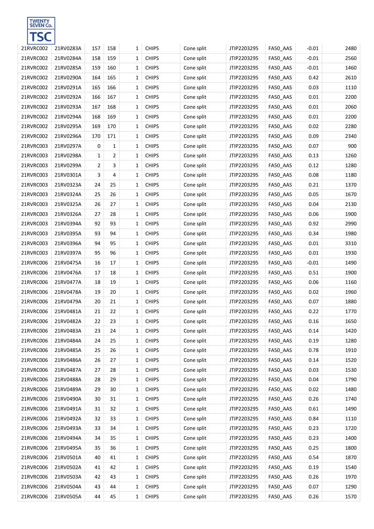

| 21RVRC002 | 21RV0283A | 157            | 158            | 1 | <b>CHIPS</b> | Cone split | JTIP2203295 | FA50_AAS | $-0.01$ | 2480 |
|-----------|-----------|----------------|----------------|---|--------------|------------|-------------|----------|---------|------|
| 21RVRC002 | 21RV0284A | 158            | 159            | 1 | <b>CHIPS</b> | Cone split | JTIP2203295 | FA50_AAS | $-0.01$ | 2560 |
| 21RVRC002 | 21RV0285A | 159            | 160            | 1 | <b>CHIPS</b> | Cone split | JTIP2203295 | FA50_AAS | $-0.01$ | 1460 |
| 21RVRC002 | 21RV0290A | 164            | 165            | 1 | <b>CHIPS</b> | Cone split | JTIP2203295 | FA50_AAS | 0.42    | 2610 |
| 21RVRC002 | 21RV0291A | 165            | 166            | 1 | <b>CHIPS</b> | Cone split | JTIP2203295 | FA50_AAS | 0.03    | 1110 |
| 21RVRC002 | 21RV0292A | 166            | 167            | 1 | <b>CHIPS</b> | Cone split | JTIP2203295 | FA50_AAS | 0.01    | 2200 |
| 21RVRC002 | 21RV0293A | 167            | 168            | 1 | <b>CHIPS</b> | Cone split | JTIP2203295 | FA50_AAS | 0.01    | 2060 |
| 21RVRC002 | 21RV0294A | 168            | 169            | 1 | <b>CHIPS</b> | Cone split | JTIP2203295 | FA50_AAS | 0.01    | 2200 |
| 21RVRC002 | 21RV0295A | 169            | 170            | 1 | <b>CHIPS</b> | Cone split | JTIP2203295 | FA50_AAS | 0.02    | 2280 |
| 21RVRC002 | 21RV0296A | 170            | 171            | 1 | <b>CHIPS</b> | Cone split | JTIP2203295 | FA50_AAS | 0.09    | 2340 |
| 21RVRC003 | 21RV0297A | 0              | $\mathbf{1}$   | 1 | <b>CHIPS</b> | Cone split | JTIP2203295 | FA50_AAS | 0.07    | 900  |
| 21RVRC003 | 21RV0298A | $\mathbf{1}$   | $\overline{2}$ | 1 | <b>CHIPS</b> | Cone split | JTIP2203295 | FA50_AAS | 0.13    | 1260 |
| 21RVRC003 | 21RV0299A | $\overline{2}$ | 3              | 1 | <b>CHIPS</b> | Cone split | JTIP2203295 | FA50_AAS | 0.12    | 1280 |
| 21RVRC003 | 21RV0301A | 3              | 4              | 1 | <b>CHIPS</b> | Cone split | JTIP2203295 | FA50_AAS | 0.08    | 1180 |
| 21RVRC003 | 21RV0323A | 24             | 25             | 1 | <b>CHIPS</b> | Cone split | JTIP2203295 | FA50_AAS | 0.21    | 1370 |
| 21RVRC003 | 21RV0324A | 25             | 26             | 1 | <b>CHIPS</b> | Cone split | JTIP2203295 | FA50_AAS | 0.05    | 1670 |
| 21RVRC003 | 21RV0325A | 26             | 27             | 1 | <b>CHIPS</b> | Cone split | JTIP2203295 | FA50_AAS | 0.04    | 2130 |
| 21RVRC003 | 21RV0326A | 27             | 28             | 1 | <b>CHIPS</b> | Cone split | JTIP2203295 | FA50_AAS | 0.06    | 1900 |
| 21RVRC003 | 21RV0394A | 92             | 93             | 1 | <b>CHIPS</b> | Cone split | JTIP2203295 | FA50_AAS | 0.92    | 2990 |
| 21RVRC003 | 21RV0395A | 93             | 94             | 1 | <b>CHIPS</b> | Cone split | JTIP2203295 | FA50_AAS | 0.34    | 1980 |
| 21RVRC003 | 21RV0396A | 94             | 95             | 1 | <b>CHIPS</b> | Cone split | JTIP2203295 | FA50_AAS | 0.01    | 3310 |
| 21RVRC003 | 21RV0397A | 95             | 96             | 1 | <b>CHIPS</b> | Cone split | JTIP2203295 | FA50_AAS | 0.01    | 1930 |
| 21RVRC006 | 21RV0475A | 16             | 17             | 1 | <b>CHIPS</b> | Cone split | JTIP2203295 | FA50_AAS | $-0.01$ | 1490 |
| 21RVRC006 | 21RV0476A | 17             | 18             | 1 | <b>CHIPS</b> | Cone split | JTIP2203295 | FA50_AAS | 0.51    | 1900 |
| 21RVRC006 | 21RV0477A | 18             | 19             | 1 | <b>CHIPS</b> | Cone split | JTIP2203295 | FA50_AAS | 0.06    | 1160 |
| 21RVRC006 | 21RV0478A | 19             | 20             | 1 | <b>CHIPS</b> | Cone split | JTIP2203295 | FA50_AAS | 0.02    | 1960 |
| 21RVRC006 | 21RV0479A | 20             | 21             | 1 | <b>CHIPS</b> | Cone split | JTIP2203295 | FA50_AAS | 0.07    | 1880 |
| 21RVRC006 | 21RV0481A | 21             | 22             | 1 | <b>CHIPS</b> | Cone split | JTIP2203295 | FA50_AAS | 0.22    | 1770 |
| 21RVRC006 | 21RV0482A | 22             | 23             | 1 | <b>CHIPS</b> | Cone split | JTIP2203295 | FA50_AAS | 0.16    | 1650 |
| 21RVRC006 | 21RV0483A | 23             | 24             | 1 | <b>CHIPS</b> | Cone split | JTIP2203295 | FA50_AAS | 0.14    | 1420 |
| 21RVRC006 | 21RV0484A | 24             | 25             | 1 | <b>CHIPS</b> | Cone split | JTIP2203295 | FA50_AAS | 0.19    | 1280 |
| 21RVRC006 | 21RV0485A | 25             | 26             | 1 | <b>CHIPS</b> | Cone split | JTIP2203295 | FA50_AAS | 0.78    | 1910 |
| 21RVRC006 | 21RV0486A | 26             | 27             | 1 | <b>CHIPS</b> | Cone split | JTIP2203295 | FA50_AAS | 0.14    | 1520 |
| 21RVRC006 | 21RV0487A | 27             | 28             | 1 | <b>CHIPS</b> | Cone split | JTIP2203295 | FA50_AAS | 0.03    | 1530 |
| 21RVRC006 | 21RV0488A | 28             | 29             | 1 | <b>CHIPS</b> | Cone split | JTIP2203295 | FA50_AAS | 0.04    | 1790 |
| 21RVRC006 | 21RV0489A | 29             | 30             | 1 | <b>CHIPS</b> | Cone split | JTIP2203295 | FA50_AAS | 0.02    | 1480 |
| 21RVRC006 | 21RV0490A | 30             | 31             | 1 | <b>CHIPS</b> | Cone split | JTIP2203295 | FA50_AAS | 0.26    | 1740 |
| 21RVRC006 | 21RV0491A | 31             | 32             | 1 | <b>CHIPS</b> | Cone split | JTIP2203295 | FA50_AAS | 0.61    | 1490 |
| 21RVRC006 | 21RV0492A | 32             | 33             | 1 | <b>CHIPS</b> | Cone split | JTIP2203295 | FA50_AAS | 0.84    | 1110 |
| 21RVRC006 | 21RV0493A | 33             | 34             | 1 | <b>CHIPS</b> | Cone split | JTIP2203295 | FA50_AAS | 0.23    | 1720 |
| 21RVRC006 | 21RV0494A | 34             | 35             | 1 | <b>CHIPS</b> | Cone split | JTIP2203295 | FA50_AAS | 0.23    | 1400 |
| 21RVRC006 | 21RV0495A | 35             | 36             | 1 | <b>CHIPS</b> | Cone split | JTIP2203295 | FA50_AAS | 0.25    | 1800 |
| 21RVRC006 | 21RV0501A | 40             | 41             | 1 | <b>CHIPS</b> | Cone split | JTIP2203295 | FA50_AAS | 0.54    | 1870 |
| 21RVRC006 | 21RV0502A | 41             | 42             | 1 | <b>CHIPS</b> | Cone split | JTIP2203295 | FA50_AAS | 0.19    | 1540 |
| 21RVRC006 | 21RV0503A | 42             | 43             | 1 | <b>CHIPS</b> | Cone split | JTIP2203295 | FA50_AAS | 0.26    | 1970 |
| 21RVRC006 | 21RV0504A | 43             | 44             | 1 | <b>CHIPS</b> | Cone split | JTIP2203295 | FA50_AAS | 0.07    | 1290 |
| 21RVRC006 | 21RV0505A | 44             | 45             | 1 | <b>CHIPS</b> | Cone split | JTIP2203295 | FA50_AAS | 0.26    | 1570 |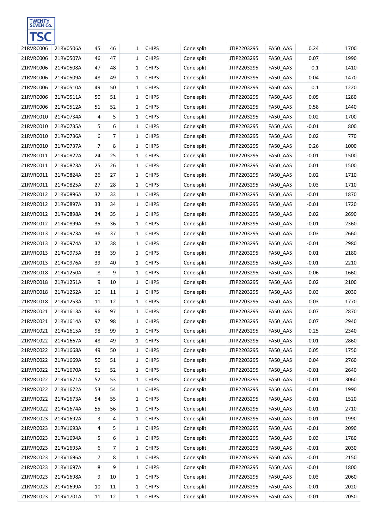

| 21RVRC006 | 21RV0506A | 45             | 46 | 1 | <b>CHIPS</b> | Cone split | JTIP2203295 | FA50_AAS | 0.24    | 1700 |
|-----------|-----------|----------------|----|---|--------------|------------|-------------|----------|---------|------|
| 21RVRC006 | 21RV0507A | 46             | 47 | 1 | <b>CHIPS</b> | Cone split | JTIP2203295 | FA50_AAS | 0.07    | 1990 |
| 21RVRC006 | 21RV0508A | 47             | 48 | 1 | <b>CHIPS</b> | Cone split | JTIP2203295 | FA50_AAS | 0.1     | 1410 |
| 21RVRC006 | 21RV0509A | 48             | 49 | 1 | <b>CHIPS</b> | Cone split | JTIP2203295 | FA50_AAS | 0.04    | 1470 |
| 21RVRC006 | 21RV0510A | 49             | 50 | 1 | <b>CHIPS</b> | Cone split | JTIP2203295 | FA50_AAS | 0.1     | 1220 |
| 21RVRC006 | 21RV0511A | 50             | 51 | 1 | <b>CHIPS</b> | Cone split | JTIP2203295 | FA50_AAS | 0.05    | 1280 |
| 21RVRC006 | 21RV0512A | 51             | 52 | 1 | <b>CHIPS</b> | Cone split | JTIP2203295 | FA50_AAS | 0.58    | 1440 |
| 21RVRC010 | 21RV0734A | 4              | 5  | 1 | <b>CHIPS</b> | Cone split | JTIP2203295 | FA50_AAS | 0.02    | 1700 |
| 21RVRC010 | 21RV0735A | 5              | 6  | 1 | <b>CHIPS</b> | Cone split | JTIP2203295 | FA50_AAS | $-0.01$ | 800  |
| 21RVRC010 | 21RV0736A | 6              | 7  | 1 | <b>CHIPS</b> | Cone split | JTIP2203295 | FA50_AAS | 0.02    | 770  |
| 21RVRC010 | 21RV0737A | $\overline{7}$ | 8  | 1 | <b>CHIPS</b> | Cone split | JTIP2203295 | FA50_AAS | 0.26    | 1000 |
| 21RVRC011 | 21RV0822A | 24             | 25 | 1 | <b>CHIPS</b> | Cone split | JTIP2203295 | FA50_AAS | $-0.01$ | 1500 |
| 21RVRC011 | 21RV0823A | 25             | 26 | 1 | <b>CHIPS</b> | Cone split | JTIP2203295 | FA50_AAS | 0.01    | 1500 |
| 21RVRC011 | 21RV0824A | 26             | 27 | 1 | <b>CHIPS</b> | Cone split | JTIP2203295 | FA50_AAS | 0.02    | 1710 |
| 21RVRC011 | 21RV0825A | 27             | 28 | 1 | <b>CHIPS</b> | Cone split | JTIP2203295 | FA50_AAS | 0.03    | 1710 |
| 21RVRC012 | 21RV0896A | 32             | 33 | 1 | <b>CHIPS</b> | Cone split | JTIP2203295 | FA50_AAS | $-0.01$ | 1870 |
| 21RVRC012 | 21RV0897A | 33             | 34 | 1 | <b>CHIPS</b> | Cone split | JTIP2203295 | FA50_AAS | $-0.01$ | 1720 |
| 21RVRC012 | 21RV0898A | 34             | 35 | 1 | <b>CHIPS</b> | Cone split | JTIP2203295 | FA50_AAS | 0.02    | 2690 |
| 21RVRC012 | 21RV0899A | 35             | 36 | 1 | <b>CHIPS</b> | Cone split | JTIP2203295 | FA50_AAS | $-0.01$ | 2360 |
| 21RVRC013 | 21RV0973A | 36             | 37 | 1 | <b>CHIPS</b> | Cone split | JTIP2203295 | FA50_AAS | 0.03    | 2660 |
| 21RVRC013 | 21RV0974A | 37             | 38 | 1 | <b>CHIPS</b> | Cone split | JTIP2203295 | FA50_AAS | $-0.01$ | 2980 |
| 21RVRC013 | 21RV0975A | 38             | 39 | 1 | <b>CHIPS</b> | Cone split | JTIP2203295 | FA50_AAS | 0.01    | 2180 |
| 21RVRC013 | 21RV0976A | 39             | 40 | 1 | <b>CHIPS</b> | Cone split | JTIP2203295 | FA50_AAS | $-0.01$ | 2210 |
| 21RVRC018 | 21RV1250A | 8              | 9  | 1 | <b>CHIPS</b> | Cone split | JTIP2203295 | FA50_AAS | 0.06    | 1660 |
| 21RVRC018 | 21RV1251A | 9              | 10 | 1 | <b>CHIPS</b> | Cone split | JTIP2203295 | FA50_AAS | 0.02    | 2100 |
| 21RVRC018 | 21RV1252A | 10             | 11 | 1 | <b>CHIPS</b> | Cone split | JTIP2203295 | FA50_AAS | 0.03    | 2030 |
| 21RVRC018 | 21RV1253A | 11             | 12 | 1 | <b>CHIPS</b> | Cone split | JTIP2203295 | FA50_AAS | 0.03    | 1770 |
| 21RVRC021 | 21RV1613A | 96             | 97 | 1 | <b>CHIPS</b> | Cone split | JTIP2203295 | FA50_AAS | 0.07    | 2870 |
| 21RVRC021 | 21RV1614A | 97             | 98 | 1 | <b>CHIPS</b> | Cone split | JTIP2203295 | FA50_AAS | 0.07    | 2940 |
| 21RVRC021 | 21RV1615A | 98             | 99 | 1 | <b>CHIPS</b> | Cone split | JTIP2203295 | FA50_AAS | 0.25    | 2340 |
| 21RVRC022 | 21RV1667A | 48             | 49 | 1 | <b>CHIPS</b> | Cone split | JTIP2203295 | FA50_AAS | $-0.01$ | 2860 |
| 21RVRC022 | 21RV1668A | 49             | 50 | 1 | <b>CHIPS</b> | Cone split | JTIP2203295 | FA50_AAS | 0.05    | 1750 |
| 21RVRC022 | 21RV1669A | 50             | 51 | 1 | <b>CHIPS</b> | Cone split | JTIP2203295 | FA50_AAS | 0.04    | 2760 |
| 21RVRC022 | 21RV1670A | 51             | 52 | 1 | <b>CHIPS</b> | Cone split | JTIP2203295 | FA50_AAS | $-0.01$ | 2640 |
| 21RVRC022 | 21RV1671A | 52             | 53 | 1 | <b>CHIPS</b> | Cone split | JTIP2203295 | FA50_AAS | $-0.01$ | 3060 |
| 21RVRC022 | 21RV1672A | 53             | 54 | 1 | <b>CHIPS</b> | Cone split | JTIP2203295 | FA50_AAS | $-0.01$ | 1990 |
| 21RVRC022 | 21RV1673A | 54             | 55 | 1 | <b>CHIPS</b> | Cone split | JTIP2203295 | FA50_AAS | $-0.01$ | 1520 |
| 21RVRC022 | 21RV1674A | 55             | 56 | 1 | <b>CHIPS</b> | Cone split | JTIP2203295 | FA50_AAS | $-0.01$ | 2710 |
| 21RVRC023 | 21RV1692A | 3              | 4  | 1 | <b>CHIPS</b> | Cone split | JTIP2203295 | FA50_AAS | $-0.01$ | 1990 |
| 21RVRC023 | 21RV1693A | 4              | 5  | 1 | <b>CHIPS</b> | Cone split | JTIP2203295 | FA50_AAS | $-0.01$ | 2090 |
| 21RVRC023 | 21RV1694A | 5              | 6  | 1 | <b>CHIPS</b> | Cone split | JTIP2203295 | FA50_AAS | 0.03    | 1780 |
| 21RVRC023 | 21RV1695A | 6              | 7  | 1 | <b>CHIPS</b> | Cone split | JTIP2203295 | FA50_AAS | $-0.01$ | 2030 |
| 21RVRC023 | 21RV1696A | 7              | 8  | 1 | <b>CHIPS</b> | Cone split | JTIP2203295 | FA50_AAS | $-0.01$ | 2150 |
| 21RVRC023 | 21RV1697A | 8              | 9  | 1 | <b>CHIPS</b> | Cone split | JTIP2203295 | FA50_AAS | $-0.01$ | 1800 |
| 21RVRC023 | 21RV1698A | 9              | 10 | 1 | <b>CHIPS</b> | Cone split | JTIP2203295 | FA50_AAS | 0.03    | 2060 |
| 21RVRC023 | 21RV1699A | 10             | 11 | 1 | <b>CHIPS</b> | Cone split | JTIP2203295 | FA50_AAS | $-0.01$ | 2020 |
| 21RVRC023 | 21RV1701A | 11             | 12 | 1 | <b>CHIPS</b> | Cone split | JTIP2203295 | FA50_AAS | $-0.01$ | 2050 |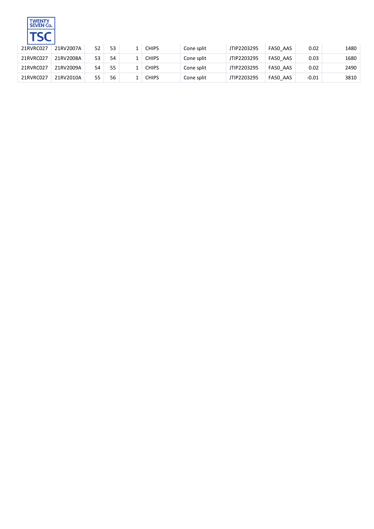

| 21RVRC027 | 21RV2007A | 52 | 53 | <b>CHIPS</b> | Cone split | JTIP2203295 | FA50 AAS | 0.02    | 1480 |
|-----------|-----------|----|----|--------------|------------|-------------|----------|---------|------|
| 21RVRC027 | 21RV2008A | 53 | 54 | <b>CHIPS</b> | Cone split | JTIP2203295 | FA50 AAS | 0.03    | 1680 |
| 21RVRC027 | 21RV2009A | 54 | 55 | <b>CHIPS</b> | Cone split | JTIP2203295 | FA50 AAS | 0.02    | 2490 |
| 21RVRC027 | 21RV2010A | 55 | 56 | <b>CHIPS</b> | Cone split | JTIP2203295 | FA50 AAS | $-0.01$ | 3810 |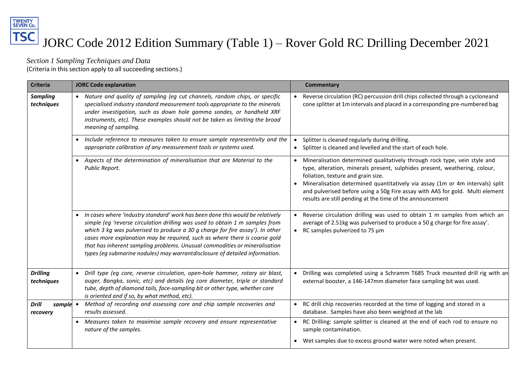# TWENTY<br>SEVEN Co. **TSC** JORC Code 2012 Edition Summary (Table 1) – Rover Gold RC Drilling December 2021

*Section 1 Sampling Techniques and Data*

(Criteria in this section apply to all succeeding sections.)

| <b>Criteria</b>                      | <b>JORC Code explanation</b>                                                                                                                                                                                                                                                                                                                                                                                                                                                                 | Commentary                                                                                                                                                                                                                                                                                                                                                                                                                   |
|--------------------------------------|----------------------------------------------------------------------------------------------------------------------------------------------------------------------------------------------------------------------------------------------------------------------------------------------------------------------------------------------------------------------------------------------------------------------------------------------------------------------------------------------|------------------------------------------------------------------------------------------------------------------------------------------------------------------------------------------------------------------------------------------------------------------------------------------------------------------------------------------------------------------------------------------------------------------------------|
| <b>Sampling</b><br>techniques        | • Nature and quality of sampling (eg cut channels, random chips, or specific<br>specialised industry standard measurement tools appropriate to the minerals<br>under investigation, such as down hole gamma sondes, or handheld XRF<br>instruments, etc). These examples should not be taken as limiting the broad<br>meaning of sampling.                                                                                                                                                   | Reverse circulation (RC) percussion drill chips collected through a cycloneand<br>cone splitter at 1m intervals and placed in a corresponding pre-numbered bag                                                                                                                                                                                                                                                               |
|                                      | • Include reference to measures taken to ensure sample representivity and the<br>appropriate calibration of any measurement tools or systems used.                                                                                                                                                                                                                                                                                                                                           | Splitter is cleaned regularly during drilling.<br>Splitter is cleaned and levelled and the start of each hole.<br>$\bullet$                                                                                                                                                                                                                                                                                                  |
|                                      | • Aspects of the determination of mineralisation that are Material to the<br>Public Report.                                                                                                                                                                                                                                                                                                                                                                                                  | Mineralisation determined qualitatively through rock type, vein style and<br>type, alteration, minerals present, sulphides present, weathering, colour,<br>foliation, texture and grain size.<br>Mineralisation determined quantitatively via assay (1m or 4m intervals) split<br>and pulverised before using a 50g Fire assay with AAS for gold. Multi element<br>results are still pending at the time of the announcement |
|                                      | • In cases where 'industry standard' work has been done this would be relatively<br>simple (eg 'reverse circulation drilling was used to obtain 1 m samples from<br>which 3 kg was pulverised to produce a 30 g charge for fire assay'). In other<br>cases more explanation may be required, such as where there is coarse gold<br>that has inherent sampling problems. Unusual commodities or mineralisation<br>types (eg submarine nodules) may warrantdisclosure of detailed information. | Reverse circulation drilling was used to obtain 1 m samples from which an<br>average of 2.51kg was pulverised to produce a 50 g charge for fire assay'.<br>RC samples pulverized to 75 µm                                                                                                                                                                                                                                    |
| <b>Drilling</b><br>techniques        | • Drill type (eg core, reverse circulation, open-hole hammer, rotary air blast,<br>auger, Bangka, sonic, etc) and details (eg core diameter, triple or standard<br>tube, depth of diamond tails, face-sampling bit or other type, whether core<br>is oriented and if so, by what method, etc).                                                                                                                                                                                               | Drilling was completed using a Schramm T685 Truck mounted drill rig with an<br>external booster, a 146-147mm diameter face sampling bit was used.                                                                                                                                                                                                                                                                            |
| <b>Drill</b><br>sample •<br>recovery | Method of recording and assessing core and chip sample recoveries and<br>results assessed.                                                                                                                                                                                                                                                                                                                                                                                                   | RC drill chip recoveries recorded at the time of logging and stored in a<br>database. Samples have also been weighted at the lab                                                                                                                                                                                                                                                                                             |
|                                      | • Measures taken to maximise sample recovery and ensure representative<br>nature of the samples.                                                                                                                                                                                                                                                                                                                                                                                             | RC Drilling: sample splitter is cleaned at the end of each rod to ensure no<br>sample contamination.<br>• Wet samples due to excess ground water were noted when present.                                                                                                                                                                                                                                                    |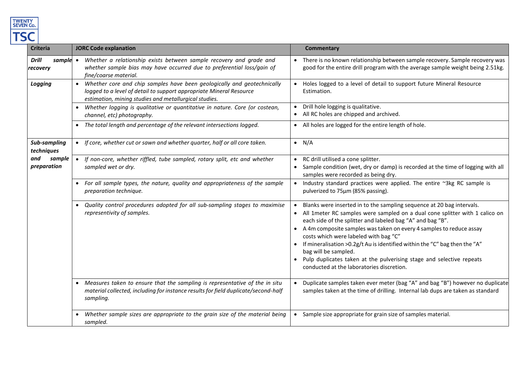

| <b>Criteria</b>                      | <b>JORC Code explanation</b>                                                                                                                                                                                         | <b>Commentary</b>                                                                                                                                                                                                                                                                                                                                                                                                                                                                                                                                                      |
|--------------------------------------|----------------------------------------------------------------------------------------------------------------------------------------------------------------------------------------------------------------------|------------------------------------------------------------------------------------------------------------------------------------------------------------------------------------------------------------------------------------------------------------------------------------------------------------------------------------------------------------------------------------------------------------------------------------------------------------------------------------------------------------------------------------------------------------------------|
| <b>Drill</b><br>sample •<br>recovery | Whether a relationship exists between sample recovery and grade and<br>whether sample bias may have occurred due to preferential loss/gain of<br>fine/coarse material.                                               | • There is no known relationship between sample recovery. Sample recovery was<br>good for the entire drill program with the average sample weight being 2.51kg.                                                                                                                                                                                                                                                                                                                                                                                                        |
| Logging                              | Whether core and chip samples have been geologically and geotechnically<br>$\bullet$<br>logged to a level of detail to support appropriate Mineral Resource<br>estimation, mining studies and metallurgical studies. | Holes logged to a level of detail to support future Mineral Resource<br>Estimation.                                                                                                                                                                                                                                                                                                                                                                                                                                                                                    |
|                                      | Whether logging is qualitative or quantitative in nature. Core (or costean,<br>channel, etc) photography.                                                                                                            | Drill hole logging is qualitative.<br>• All RC holes are chipped and archived.                                                                                                                                                                                                                                                                                                                                                                                                                                                                                         |
|                                      | • The total length and percentage of the relevant intersections logged.                                                                                                                                              | • All holes are logged for the entire length of hole.                                                                                                                                                                                                                                                                                                                                                                                                                                                                                                                  |
| Sub-sampling<br>techniques           | If core, whether cut or sawn and whether quarter, half or all core taken.<br>$\bullet$                                                                                                                               | $\bullet$ N/A                                                                                                                                                                                                                                                                                                                                                                                                                                                                                                                                                          |
| and<br>sample<br>preparation         | If non-core, whether riffled, tube sampled, rotary split, etc and whether<br>$\bullet$<br>sampled wet or dry.                                                                                                        | • RC drill utilised a cone splitter.<br>• Sample condition (wet, dry or damp) is recorded at the time of logging with all<br>samples were recorded as being dry.                                                                                                                                                                                                                                                                                                                                                                                                       |
|                                      | For all sample types, the nature, quality and appropriateness of the sample<br>preparation technique.                                                                                                                | • Industry standard practices were applied. The entire ~3kg RC sample is<br>pulverized to 75µm (85% passing).                                                                                                                                                                                                                                                                                                                                                                                                                                                          |
|                                      | Quality control procedures adopted for all sub-sampling stages to maximise<br>$\bullet$<br>representivity of samples.                                                                                                | Blanks were inserted in to the sampling sequence at 20 bag intervals.<br>• All 1meter RC samples were sampled on a dual cone splitter with 1 calico on<br>each side of the splitter and labeled bag "A" and bag "B".<br>• A 4m composite samples was taken on every 4 samples to reduce assay<br>costs which were labeled with bag "C"<br>• If mineralisation > 0.2g/t Au is identified within the "C" bag then the "A"<br>bag will be sampled.<br>• Pulp duplicates taken at the pulverising stage and selective repeats<br>conducted at the laboratories discretion. |
|                                      | Measures taken to ensure that the sampling is representative of the in situ<br>material collected, including for instance results for field duplicate/second-half<br>sampling.                                       | Duplicate samples taken ever meter (bag "A" and bag "B") however no duplicate<br>samples taken at the time of drilling. Internal lab dups are taken as standard                                                                                                                                                                                                                                                                                                                                                                                                        |
|                                      | Whether sample sizes are appropriate to the grain size of the material being<br>sampled.                                                                                                                             | Sample size appropriate for grain size of samples material.<br>$\bullet$                                                                                                                                                                                                                                                                                                                                                                                                                                                                                               |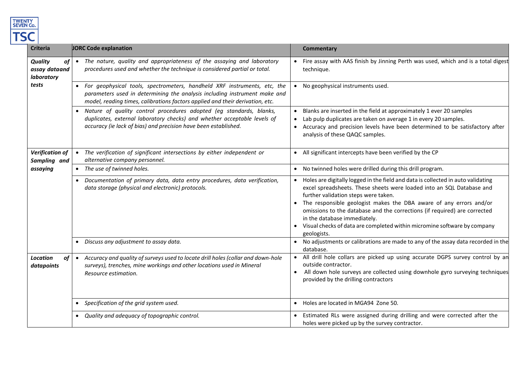

| <b>Criteria</b>                                     | <b>JORC Code explanation</b>                                                                                                                                                                                                             | <b>Commentary</b>                                                                                                                                                                                                                                                                                                                                                                                                                                                               |
|-----------------------------------------------------|------------------------------------------------------------------------------------------------------------------------------------------------------------------------------------------------------------------------------------------|---------------------------------------------------------------------------------------------------------------------------------------------------------------------------------------------------------------------------------------------------------------------------------------------------------------------------------------------------------------------------------------------------------------------------------------------------------------------------------|
| <b>Quality</b><br>of<br>assay dataand<br>laboratory | • The nature, quality and appropriateness of the assaying and laboratory<br>procedures used and whether the technique is considered partial or total.                                                                                    | Fire assay with AAS finish by Jinning Perth was used, which and is a total digest<br>technique.                                                                                                                                                                                                                                                                                                                                                                                 |
| tests                                               | • For geophysical tools, spectrometers, handheld XRF instruments, etc, the<br>parameters used in determining the analysis including instrument make and<br>model, reading times, calibrations factors applied and their derivation, etc. | No geophysical instruments used.                                                                                                                                                                                                                                                                                                                                                                                                                                                |
|                                                     | Nature of quality control procedures adopted (eg standards, blanks,<br>duplicates, external laboratory checks) and whether acceptable levels of<br>accuracy (ie lack of bias) and precision have been established.                       | Blanks are inserted in the field at approximately 1 ever 20 samples<br>Lab pulp duplicates are taken on average 1 in every 20 samples.<br>Accuracy and precision levels have been determined to be satisfactory after<br>analysis of these QAQC samples.                                                                                                                                                                                                                        |
| <b>Verification of</b><br>Sampling and              | The verification of significant intersections by either independent or<br>alternative company personnel.                                                                                                                                 | • All significant intercepts have been verified by the CP                                                                                                                                                                                                                                                                                                                                                                                                                       |
| assaying                                            | • The use of twinned holes.                                                                                                                                                                                                              | • No twinned holes were drilled during this drill program.                                                                                                                                                                                                                                                                                                                                                                                                                      |
|                                                     | Documentation of primary data, data entry procedures, data verification,<br>data storage (physical and electronic) protocols.                                                                                                            | Holes are digitally logged in the field and data is collected in auto validating<br>excel spreadsheets. These sheets were loaded into an SQL Database and<br>further validation steps were taken.<br>The responsible geologist makes the DBA aware of any errors and/or<br>omissions to the database and the corrections (if required) are corrected<br>in the database immediately.<br>Visual checks of data are completed within micromine software by company<br>geologists. |
|                                                     | Discuss any adjustment to assay data.                                                                                                                                                                                                    | • No adjustments or calibrations are made to any of the assay data recorded in the<br>database.                                                                                                                                                                                                                                                                                                                                                                                 |
| <b>Location</b><br>of<br>datapoints                 | Accuracy and quality of surveys used to locate drill holes (collar and down-hole<br>surveys), trenches, mine workings and other locations used in Mineral<br>Resource estimation.                                                        | • All drill hole collars are picked up using accurate DGPS survey control by an<br>outside contractor.<br>All down hole surveys are collected using downhole gyro surveying techniques<br>provided by the drilling contractors                                                                                                                                                                                                                                                  |
|                                                     | Specification of the grid system used.<br>$\bullet$                                                                                                                                                                                      | Holes are located in MGA94 Zone 50.<br>$\bullet$                                                                                                                                                                                                                                                                                                                                                                                                                                |
|                                                     | Quality and adequacy of topographic control.                                                                                                                                                                                             | Estimated RLs were assigned during drilling and were corrected after the<br>holes were picked up by the survey contractor.                                                                                                                                                                                                                                                                                                                                                      |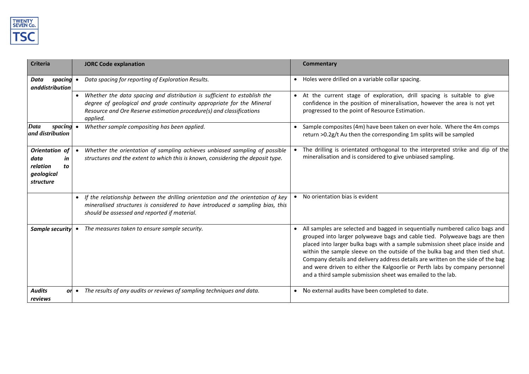

| <b>Criteria</b>                                                           | <b>JORC Code explanation</b>                                                                                                                                                                                                                       | <b>Commentary</b>                                                                                                                                                                                                                                                                                                                                                                                                                                                                                                                                            |
|---------------------------------------------------------------------------|----------------------------------------------------------------------------------------------------------------------------------------------------------------------------------------------------------------------------------------------------|--------------------------------------------------------------------------------------------------------------------------------------------------------------------------------------------------------------------------------------------------------------------------------------------------------------------------------------------------------------------------------------------------------------------------------------------------------------------------------------------------------------------------------------------------------------|
| spacing<br>Data<br>anddistribution                                        | Data spacing for reporting of Exploration Results.                                                                                                                                                                                                 | Holes were drilled on a variable collar spacing.<br>$\bullet$                                                                                                                                                                                                                                                                                                                                                                                                                                                                                                |
|                                                                           | Whether the data spacing and distribution is sufficient to establish the<br>$\bullet$<br>degree of geological and grade continuity appropriate for the Mineral<br>Resource and Ore Reserve estimation procedure(s) and classifications<br>applied. | • At the current stage of exploration, drill spacing is suitable to give<br>confidence in the position of mineralisation, however the area is not yet<br>progressed to the point of Resource Estimation.                                                                                                                                                                                                                                                                                                                                                     |
| Data<br>spacing<br>and distribution                                       | Whether sample compositing has been applied.                                                                                                                                                                                                       | Sample composites (4m) have been taken on ever hole. Where the 4m comps<br>return >0.2g/t Au then the corresponding 1m splits will be sampled                                                                                                                                                                                                                                                                                                                                                                                                                |
| Orientation of<br>data<br>in<br>relation<br>to<br>geological<br>structure | Whether the orientation of sampling achieves unbiased sampling of possible<br>structures and the extent to which this is known, considering the deposit type.                                                                                      | The drilling is orientated orthogonal to the interpreted strike and dip of the<br>mineralisation and is considered to give unbiased sampling.                                                                                                                                                                                                                                                                                                                                                                                                                |
|                                                                           | If the relationship between the drilling orientation and the orientation of key<br>mineralised structures is considered to have introduced a sampling bias, this<br>should be assessed and reported if material.                                   | No orientation bias is evident                                                                                                                                                                                                                                                                                                                                                                                                                                                                                                                               |
| Sample security                                                           | The measures taken to ensure sample security.                                                                                                                                                                                                      | All samples are selected and bagged in sequentially numbered calico bags and<br>grouped into larger polyweave bags and cable tied. Polyweave bags are then<br>placed into larger bulka bags with a sample submission sheet place inside and<br>within the sample sleeve on the outside of the bulka bag and then tied shut.<br>Company details and delivery address details are written on the side of the bag<br>and were driven to either the Kalgoorlie or Perth labs by company personnel<br>and a third sample submission sheet was emailed to the lab. |
| <b>Audits</b><br>reviews                                                  | The results of any audits or reviews of sampling techniques and data.<br>$or \bullet$                                                                                                                                                              | No external audits have been completed to date.                                                                                                                                                                                                                                                                                                                                                                                                                                                                                                              |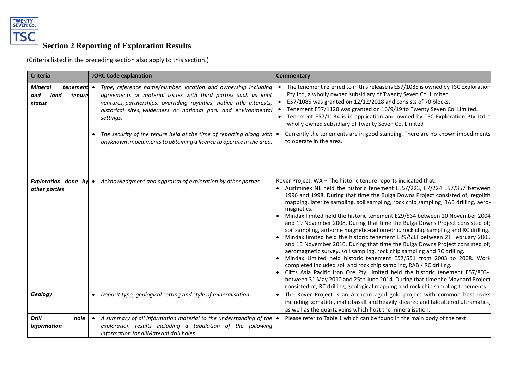

# **Section 2 Reporting of Exploration Results**

(Criteria listed in the preceding section also apply to this section.)

| <b>Criteria</b>                                   | <b>JORC Code explanation</b>                                                                                                                                                                                                                                                                               | <b>Commentary</b>                                                                                                                                                                                                                                                                                                                                                                                                                                                                                                                                                                                                                                                                                                                                                                                                                                                                                                                                                                                                                                                                                                                                                                                                                   |
|---------------------------------------------------|------------------------------------------------------------------------------------------------------------------------------------------------------------------------------------------------------------------------------------------------------------------------------------------------------------|-------------------------------------------------------------------------------------------------------------------------------------------------------------------------------------------------------------------------------------------------------------------------------------------------------------------------------------------------------------------------------------------------------------------------------------------------------------------------------------------------------------------------------------------------------------------------------------------------------------------------------------------------------------------------------------------------------------------------------------------------------------------------------------------------------------------------------------------------------------------------------------------------------------------------------------------------------------------------------------------------------------------------------------------------------------------------------------------------------------------------------------------------------------------------------------------------------------------------------------|
| <b>Mineral</b><br>land<br>and<br>tenure<br>status | <b>tenement</b> • Type, reference name/number, location and ownership including<br>agreements or material issues with third parties such as joint<br>ventures, partnerships, overriding royalties, native title interests,<br>historical sites, wilderness or national park and environmental<br>settings. | The tenement referred to in this release is E57/1085 is owned by TSC Exploration<br>Pty Ltd, a wholly owned subsidiary of Twenty Seven Co. Limited.<br>E57/1085 was granted on 12/12/2018 and consists of 70 blocks.<br>Tenement E57/1120 was granted on 16/9/19 to Twenty Seven Co. Limited.<br>Tenement E57/1134 is in application and owned by TSC Exploration Pty Ltd a<br>wholly owned subsidiary of Twenty Seven Co. Limited                                                                                                                                                                                                                                                                                                                                                                                                                                                                                                                                                                                                                                                                                                                                                                                                  |
|                                                   | • The security of the tenure held at the time of reporting along with •<br>anyknown impediments to obtaining a licence to operate in the area.                                                                                                                                                             | Currently the tenements are in good standing. There are no known impediments<br>to operate in the area.                                                                                                                                                                                                                                                                                                                                                                                                                                                                                                                                                                                                                                                                                                                                                                                                                                                                                                                                                                                                                                                                                                                             |
| <b>Exploration done by</b><br>other parties       | • Acknowledgment and appraisal of exploration by other parties.                                                                                                                                                                                                                                            | Rover Project, WA - The historic tenure reports indicated that:<br>• Austminex NL held the historic tenement EL57/223, E7/224 E57/357 between<br>1996 and 1998. During that time the Bulga Downs Project consisted of; regolith<br>mapping, laterite sampling, soil sampling, rock chip sampling, RAB drilling, aero-<br>magnetics.<br>Mindax limited held the historic tenement E29/534 between 20 November 2004<br>and 19 November 2008. During that time the Bulga Downs Project consisted of;<br>soil sampling, airborne magnetic-radiometric, rock chip sampling and RC drilling.<br>Mindax limited held the historic tenement E29/533 between 21 February 2005<br>and 15 November 2010. During that time the Bulga Downs Project consisted of;<br>aeromagnetic survey, soil sampling, rock chip sampling and RC drilling.<br>Mindax Limited held historic tenement E57/551 from 2003 to 2008. Work<br>completed included soil and rock chip sampling, RAB / RC drilling.<br>• Cliffs Asia Pacific Iron Ore Pty Limited held the historic tenement E57/803-I<br>between 31 May 2010 and 25th June 2014. During that time the Maynard Project<br>consisted of; RC drilling, geological mapping and rock chip sampling tenements |
| Geology                                           | • Deposit type, geological setting and style of mineralisation.                                                                                                                                                                                                                                            | The Rover Project is an Archean aged gold project with common host rocks<br>$\bullet$<br>including komatiite, mafic basalt and heavily sheared and talc altered ultramafics,<br>as well as the quartz veins which host the mineralisation.                                                                                                                                                                                                                                                                                                                                                                                                                                                                                                                                                                                                                                                                                                                                                                                                                                                                                                                                                                                          |
| <b>Drill</b><br>hole<br><b>Information</b>        | A summary of all information material to the understanding of the $\bullet$<br>$\bullet$<br>exploration results including a tabulation of the following<br>information for allMaterial drill holes:                                                                                                        | Please refer to Table 1 which can be found in the main body of the text.                                                                                                                                                                                                                                                                                                                                                                                                                                                                                                                                                                                                                                                                                                                                                                                                                                                                                                                                                                                                                                                                                                                                                            |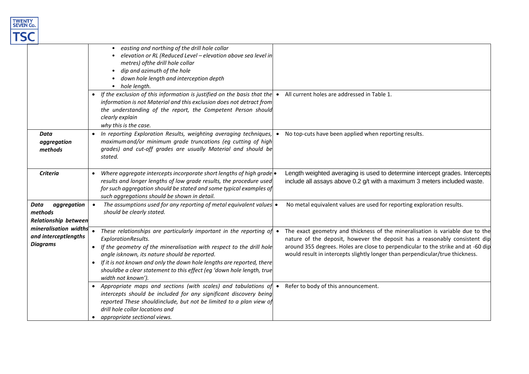

|                                                                  | easting and northing of the drill hole collar<br>elevation or RL (Reduced Level - elevation above sea level in<br>metres) of the drill hole collar<br>dip and azimuth of the hole<br>down hole length and interception depth<br>hole length.                                                                                                                                               |                                                                                                                                                                                                                                                                                                                                   |
|------------------------------------------------------------------|--------------------------------------------------------------------------------------------------------------------------------------------------------------------------------------------------------------------------------------------------------------------------------------------------------------------------------------------------------------------------------------------|-----------------------------------------------------------------------------------------------------------------------------------------------------------------------------------------------------------------------------------------------------------------------------------------------------------------------------------|
|                                                                  | If the exclusion of this information is justified on the basis that the $\bullet$<br>information is not Material and this exclusion does not detract from<br>the understanding of the report, the Competent Person should<br>clearly explain<br>why this is the case.                                                                                                                      | All current holes are addressed in Table 1.                                                                                                                                                                                                                                                                                       |
| <b>Data</b><br>aggregation<br>methods                            | In reporting Exploration Results, weighting averaging techniques,<br>maximum and/or minimum grade truncations (eg cutting of high<br>grades) and cut-off grades are usually Material and should be<br>stated.                                                                                                                                                                              | No top-cuts have been applied when reporting results.                                                                                                                                                                                                                                                                             |
| <b>Criteria</b>                                                  | Where aggregate intercepts incorporate short lengths of high grade $\bullet$<br>$\bullet$<br>results and longer lengths of low grade results, the procedure used<br>for such aggregation should be stated and some typical examples of<br>such aggregations should be shown in detail.                                                                                                     | Length weighted averaging is used to determine intercept grades. Intercepts<br>include all assays above 0.2 g/t with a maximum 3 meters included waste.                                                                                                                                                                           |
| Data<br>aggregation<br>methods<br><b>Relationship between</b>    | The assumptions used for any reporting of metal equivalent values $\bullet$<br>$\bullet$<br>should be clearly stated.                                                                                                                                                                                                                                                                      | No metal equivalent values are used for reporting exploration results.                                                                                                                                                                                                                                                            |
| mineralisation widths<br>and interceptlengths<br><b>Diagrams</b> | These relationships are particularly important in the reporting of<br>ExplorationResults.<br>If the geometry of the mineralisation with respect to the drill hole<br>angle isknown, its nature should be reported.<br>If it is not known and only the down hole lengths are reported, there<br>shouldbe a clear statement to this effect (eg 'down hole length, true<br>width not known'). | The exact geometry and thickness of the mineralisation is variable due to the<br>nature of the deposit, however the deposit has a reasonably consistent dip<br>around 355 degrees. Holes are close to perpendicular to the strike and at -60 dip<br>would result in intercepts slightly longer than perpendicular/true thickness. |
|                                                                  | Appropriate maps and sections (with scales) and tabulations of<br>intercepts should be included for any significant discovery being<br>reported These shouldinclude, but not be limited to a plan view of<br>drill hole collar locations and<br>appropriate sectional views.                                                                                                               | Refer to body of this announcement.                                                                                                                                                                                                                                                                                               |